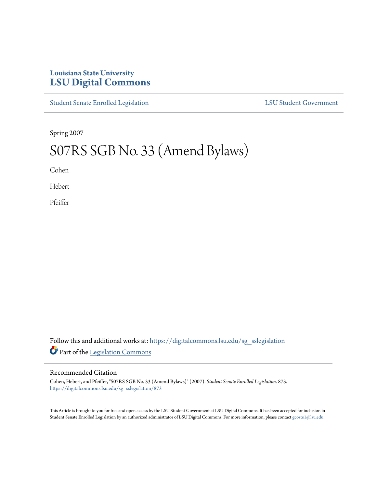## **Louisiana State University [LSU Digital Commons](https://digitalcommons.lsu.edu?utm_source=digitalcommons.lsu.edu%2Fsg_sslegislation%2F873&utm_medium=PDF&utm_campaign=PDFCoverPages)**

[Student Senate Enrolled Legislation](https://digitalcommons.lsu.edu/sg_sslegislation?utm_source=digitalcommons.lsu.edu%2Fsg_sslegislation%2F873&utm_medium=PDF&utm_campaign=PDFCoverPages) [LSU Student Government](https://digitalcommons.lsu.edu/sg?utm_source=digitalcommons.lsu.edu%2Fsg_sslegislation%2F873&utm_medium=PDF&utm_campaign=PDFCoverPages)

Spring 2007

## S07RS SGB No. 33 (Amend Bylaws)

Cohen

Hebert

Pfeiffer

Follow this and additional works at: [https://digitalcommons.lsu.edu/sg\\_sslegislation](https://digitalcommons.lsu.edu/sg_sslegislation?utm_source=digitalcommons.lsu.edu%2Fsg_sslegislation%2F873&utm_medium=PDF&utm_campaign=PDFCoverPages) Part of the [Legislation Commons](http://network.bepress.com/hgg/discipline/859?utm_source=digitalcommons.lsu.edu%2Fsg_sslegislation%2F873&utm_medium=PDF&utm_campaign=PDFCoverPages)

## Recommended Citation

Cohen, Hebert, and Pfeiffer, "S07RS SGB No. 33 (Amend Bylaws)" (2007). *Student Senate Enrolled Legislation*. 873. [https://digitalcommons.lsu.edu/sg\\_sslegislation/873](https://digitalcommons.lsu.edu/sg_sslegislation/873?utm_source=digitalcommons.lsu.edu%2Fsg_sslegislation%2F873&utm_medium=PDF&utm_campaign=PDFCoverPages)

This Article is brought to you for free and open access by the LSU Student Government at LSU Digital Commons. It has been accepted for inclusion in Student Senate Enrolled Legislation by an authorized administrator of LSU Digital Commons. For more information, please contact [gcoste1@lsu.edu.](mailto:gcoste1@lsu.edu)